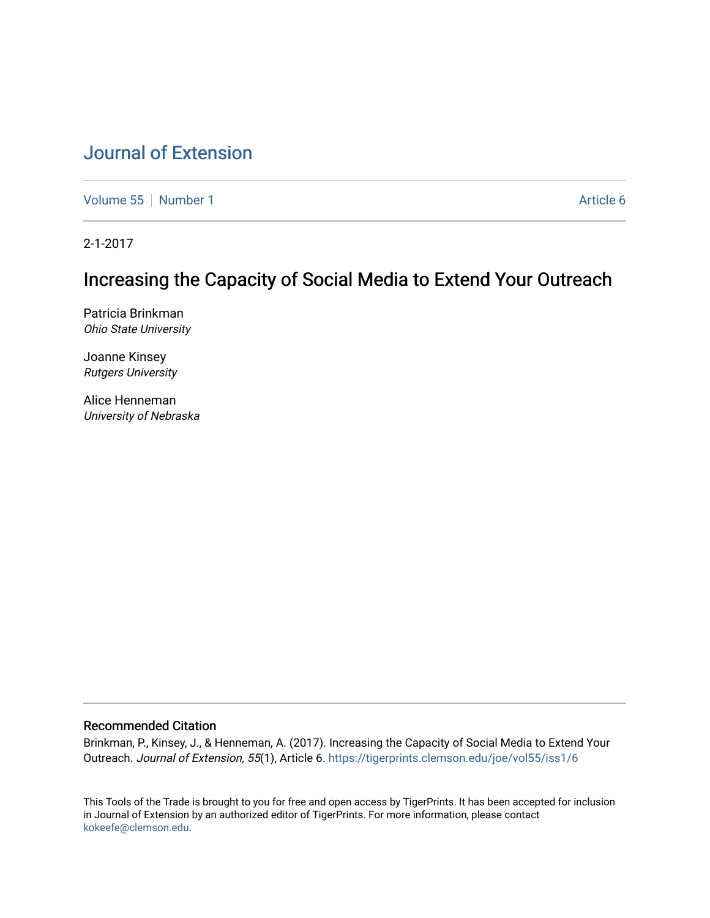# [Journal of Extension](https://tigerprints.clemson.edu/joe)

[Volume 55](https://tigerprints.clemson.edu/joe/vol55) [Number 1](https://tigerprints.clemson.edu/joe/vol55/iss1) Article 6

2-1-2017

# Increasing the Capacity of Social Media to Extend Your Outreach

Patricia Brinkman Ohio State University

Joanne Kinsey Rutgers University

Alice Henneman University of Nebraska

#### Recommended Citation

Brinkman, P., Kinsey, J., & Henneman, A. (2017). Increasing the Capacity of Social Media to Extend Your Outreach. Journal of Extension, 55(1), Article 6.<https://tigerprints.clemson.edu/joe/vol55/iss1/6>

This Tools of the Trade is brought to you for free and open access by TigerPrints. It has been accepted for inclusion in Journal of Extension by an authorized editor of TigerPrints. For more information, please contact [kokeefe@clemson.edu](mailto:kokeefe@clemson.edu).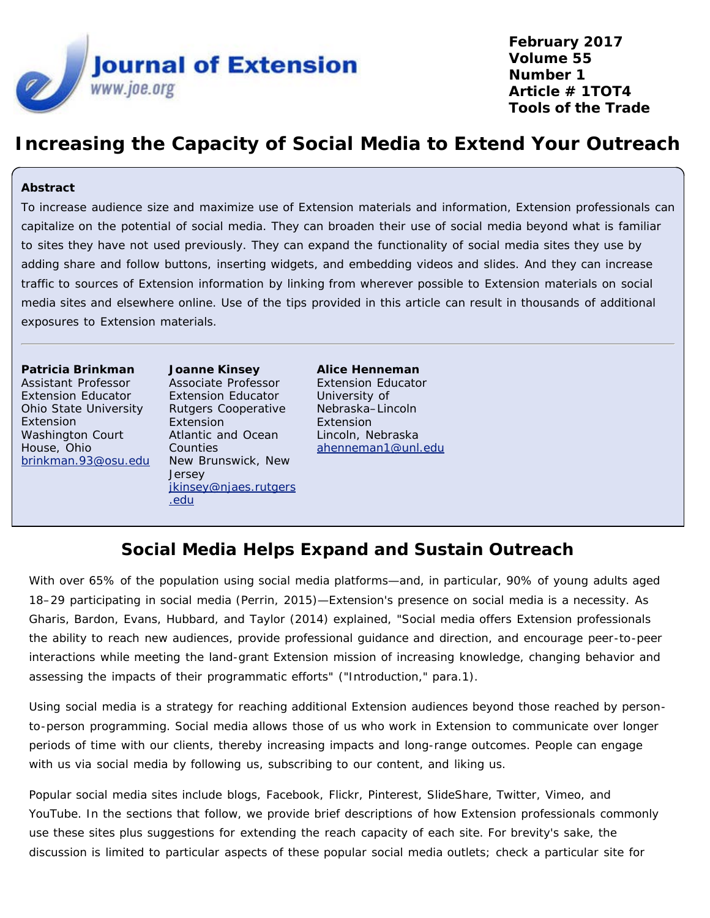

**February 2017 Volume 55 Number 1 Article # 1TOT4 Tools of the Trade**

# **Increasing the Capacity of Social Media to Extend Your Outreach**

#### **Abstract**

To increase audience size and maximize use of Extension materials and information, Extension professionals can capitalize on the potential of social media. They can broaden their use of social media beyond what is familiar to sites they have not used previously. They can expand the functionality of social media sites they use by adding share and follow buttons, inserting widgets, and embedding videos and slides. And they can increase traffic to sources of Extension information by linking from wherever possible to Extension materials on social media sites and elsewhere online. Use of the tips provided in this article can result in thousands of additional exposures to Extension materials.

#### **Patricia Brinkman**

Assistant Professor Extension Educator Ohio State University Extension Washington Court House, Ohio [brinkman.93@osu.edu](mailto:brinkman.93@osu.edu) **Joanne Kinsey** Associate Professor Extension Educator Rutgers Cooperative Extension Atlantic and Ocean Counties New Brunswick, New **Jersey** [jkinsey@njaes.rutgers](mailto:jkinsey@njaes.rutgers.edu) [.edu](mailto:jkinsey@njaes.rutgers.edu)

**Alice Henneman** Extension Educator University of Nebraska–Lincoln Extension Lincoln, Nebraska [ahenneman1@unl.edu](mailto:ahenneman1@unl.edu)

# **Social Media Helps Expand and Sustain Outreach**

With over 65% of the population using social media platforms—and, in particular, 90% of young adults aged 18–29 participating in social media (Perrin, 2015)—Extension's presence on social media is a necessity. As Gharis, Bardon, Evans, Hubbard, and Taylor (2014) explained, "Social media offers Extension professionals the ability to reach new audiences, provide professional guidance and direction, and encourage peer-to-peer interactions while meeting the land-grant Extension mission of increasing knowledge, changing behavior and assessing the impacts of their programmatic efforts" ("Introduction," para.1).

Using social media is a strategy for reaching additional Extension audiences beyond those reached by personto-person programming. Social media allows those of us who work in Extension to communicate over longer periods of time with our clients, thereby increasing impacts and long-range outcomes. People can engage with us via social media by following us, subscribing to our content, and liking us.

Popular social media sites include blogs, Facebook, Flickr, Pinterest, SlideShare, Twitter, Vimeo, and YouTube. In the sections that follow, we provide brief descriptions of how Extension professionals commonly use these sites plus suggestions for extending the reach capacity of each site. For brevity's sake, the discussion is limited to particular aspects of these popular social media outlets; check a particular site for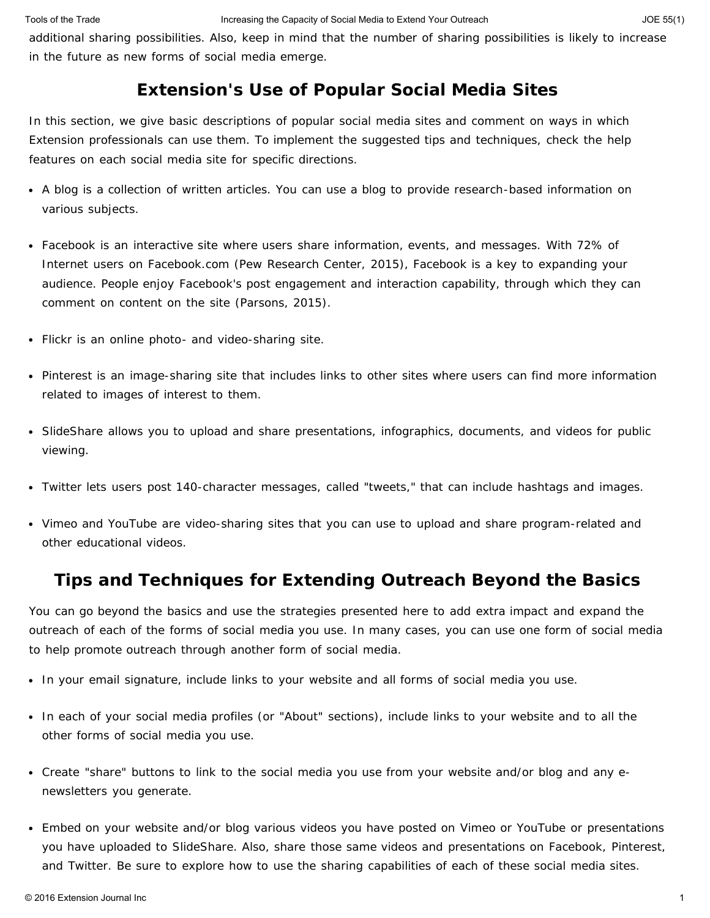additional sharing possibilities. Also, keep in mind that the number of sharing possibilities is likely to increase in the future as new forms of social media emerge.

#### **Extension's Use of Popular Social Media Sites**

In this section, we give basic descriptions of popular social media sites and comment on ways in which Extension professionals can use them. To implement the suggested tips and techniques, check the help features on each social media site for specific directions.

- A blog is a collection of written articles. You can use a blog to provide research-based information on various subjects.
- Facebook is an interactive site where users share information, events, and messages. With 72% of Internet users on Facebook.com (Pew Research Center, 2015), Facebook is a key to expanding your audience. People enjoy Facebook's post engagement and interaction capability, through which they can comment on content on the site (Parsons, 2015).
- Flickr is an online photo- and video-sharing site.
- Pinterest is an image-sharing site that includes links to other sites where users can find more information related to images of interest to them.
- SlideShare allows you to upload and share presentations, infographics, documents, and videos for public viewing.
- Twitter lets users post 140-character messages, called "tweets," that can include hashtags and images.
- Vimeo and YouTube are video-sharing sites that you can use to upload and share program-related and other educational videos.

#### **Tips and Techniques for Extending Outreach Beyond the Basics**

You can go beyond the basics and use the strategies presented here to add extra impact and expand the outreach of each of the forms of social media you use. In many cases, you can use one form of social media to help promote outreach through another form of social media.

- In your email signature, include links to your website and all forms of social media you use.
- In each of your social media profiles (or "About" sections), include links to your website and to all the other forms of social media you use.
- Create "share" buttons to link to the social media you use from your website and/or blog and any enewsletters you generate.
- Embed on your website and/or blog various videos you have posted on Vimeo or YouTube or presentations you have uploaded to SlideShare. Also, share those same videos and presentations on Facebook, Pinterest, and Twitter. Be sure to explore how to use the sharing capabilities of each of these social media sites.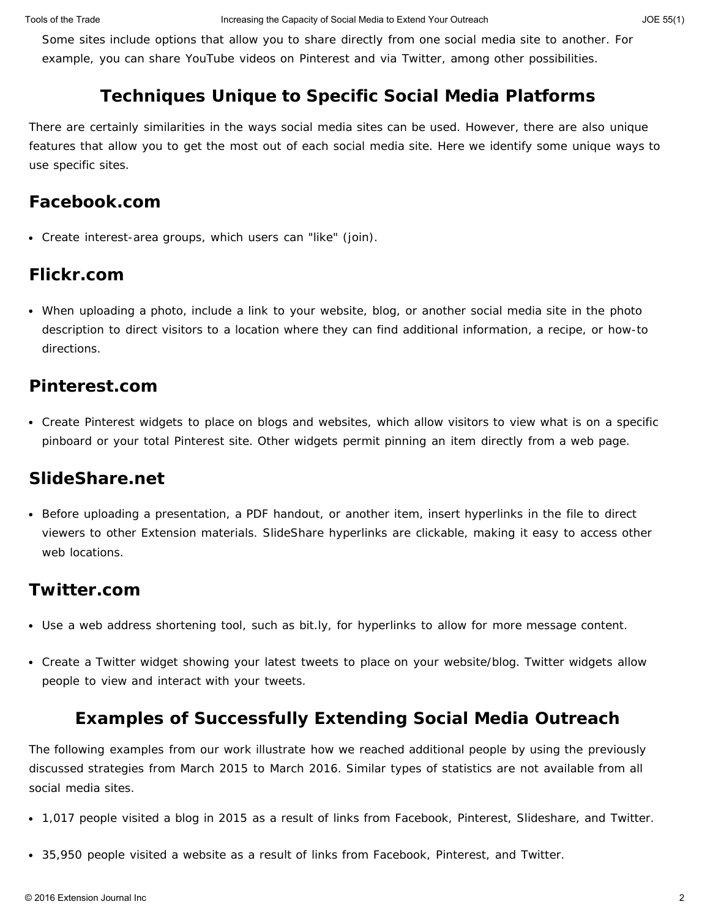Some sites include options that allow you to share directly from one social media site to another. For example, you can share YouTube videos on Pinterest and via Twitter, among other possibilities.

## **Techniques Unique to Specific Social Media Platforms**

There are certainly similarities in the ways social media sites can be used. However, there are also unique features that allow you to get the most out of each social media site. Here we identify some unique ways to use specific sites.

## **Facebook.com**

Create interest-area groups, which users can "like" (join).

## **Flickr.com**

When uploading a photo, include a link to your website, blog, or another social media site in the photo description to direct visitors to a location where they can find additional information, a recipe, or how-to directions.

## **Pinterest.com**

Create Pinterest widgets to place on blogs and websites, which allow visitors to view what is on a specific pinboard or your total Pinterest site. Other widgets permit pinning an item directly from a web page.

### **SlideShare.net**

Before uploading a presentation, a PDF handout, or another item, insert hyperlinks in the file to direct viewers to other Extension materials. SlideShare hyperlinks are clickable, making it easy to access other web locations.

## **Twitter.com**

- Use a web address shortening tool, such as bit.ly, for hyperlinks to allow for more message content.
- Create a Twitter widget showing your latest tweets to place on your website/blog. Twitter widgets allow people to view and interact with your tweets.

# **Examples of Successfully Extending Social Media Outreach**

The following examples from our work illustrate how we reached additional people by using the previously discussed strategies from March 2015 to March 2016. Similar types of statistics are not available from all social media sites.

- 1,017 people visited a blog in 2015 as a result of links from Facebook, Pinterest, Slideshare, and Twitter.
- 35,950 people visited a website as a result of links from Facebook, Pinterest, and Twitter.